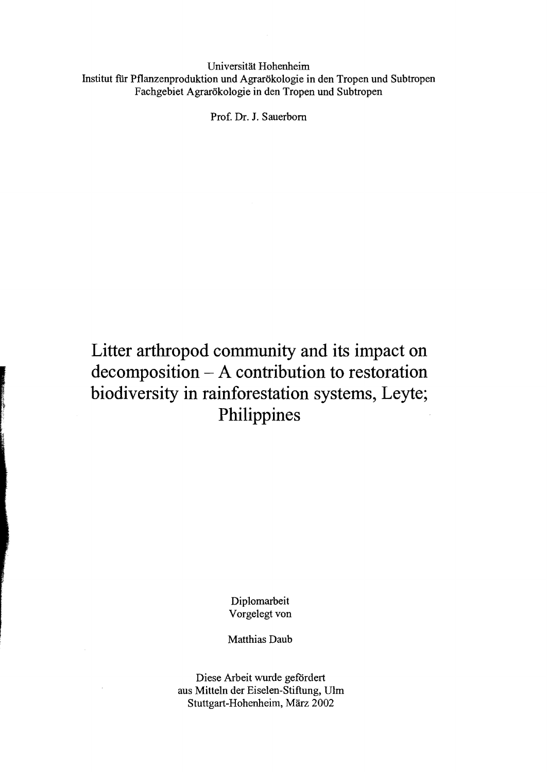Universität Hohenheirn Institut fiir Pflanzenproduktion und Agrarökologie in den Tropen und Subtropen Fachgebiet Agrarökologie in den Tropen und Subtropen

Prof. Dr. J. Sauerbom

## Litter arthropod community and its impact on **decomposition - A contribution to restoration biodiversity in rainforestation systems, Leyte; Philippines**

Diplornarbeit Vorgelegt von

Matthias Daub

Diese Arbeit wurde gefördert aus Mitteln der Eiselen-Stiftung, Ulm Stuttgart-Hohenheirn, März 2002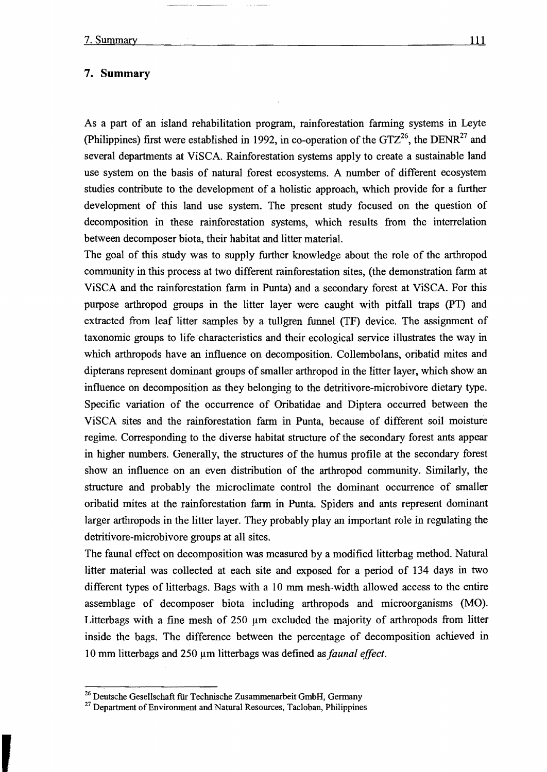## **7. Summary**

As a part of an island rehabilitation program, rainforestation farming systems in Leyte (Philippines) first were established in 1992, in co-operation of the  $GTZ^{26}$ , the DENR<sup>27</sup> and several departments at ViSCA. Rainforestation systems apply to create a sustainable land use system on the basis of natural forest ecosystems. A number of different ecosystem studies contribute to the development of a holistic approach, which provide for a further development of this land use system. The present study focused on the question of decomposition in these rainforestation systems, which results from the interrelation between decomposer biota, their habitat and litter material.

The goal of this study was to supply further knowledge about the role of the arthropod community in this process at two different rainforestation sites, (the demonstration farm at ViSCA and the rainforestation farm in Punta) and a secondary forest at ViSCA. For this purpose arthropod groups in the litter layer were caught with pitfall traps (PT) and extracted from leaf litter sampies by a tullgren funnel (TF) device. The assignment of taxonomic groups to lifecharacteristics and their ecological service illustrates the way in which arthropods have an influence on decomposition. Collembolans, oribatid mites and dipterans represent dominant groups of smaller arthropod in the litter layer, which show an influence on decomposition as they belonging to the detritivore-microbivore dietary type. Specific variation of the occurrence of Oribatidae and Diptera occurred between the ViSCA sites and the rainforestation farm in Punta, because of different soil moisture regime. Corresponding to the diverse habitat structure of the secondary forest ants appear in higher numbers. Generally, the structures of the humus profile at the secondary forest show an influence on an even distribution of the arthropod community. Similarly, the structure and probably the microclimate control the dominant occurrence of smaller oribatid mites at the rainforestation farm in Punta. Spiders and ants represent dominant larger arthropods in the litter layer. They probably play an important role in regulating the detritivore-microbivore groups at all sites.

The faunal effect on decomposition was measured by a modified litterbag method. Natural litter material was collected at each site and exposed for aperiod of 134 days in two different types of litterbags. Bags with a 10 mm mesh-width allowed access to the entire assemblage of decomposer biota inc1uding arthropods and microorganisms (MO). Litterbags with a fine mesh of  $250 \mu m$  excluded the majority of arthropods from litter inside the bags. The difference between the percentage of decomposition achieved in 10 mm litterbags and 250 μm litterbags was defined as *faunal effect*.

<sup>&</sup>lt;sup>26</sup> Deutsche Gesellschaft für Technische Zusammenarbeit GmbH, Germany

<sup>&</sup>lt;sup>27</sup> Department of Environment and Natural Resources, Tacloban, Philippines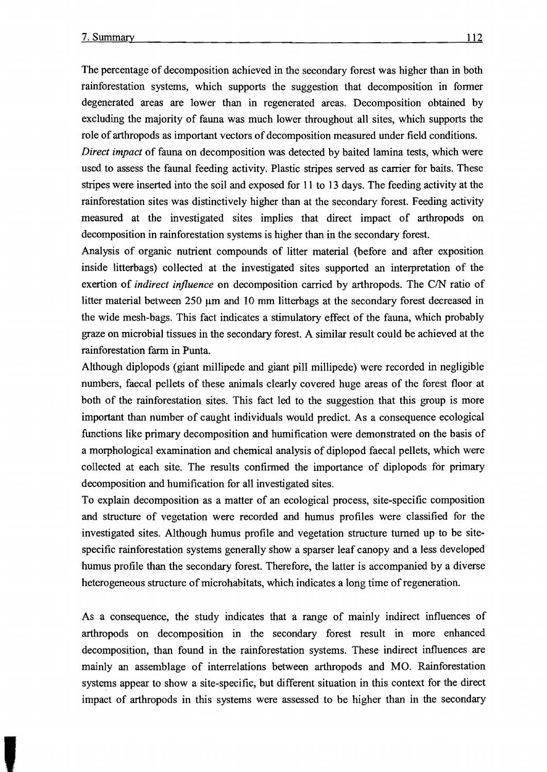The percentage of decomposition achieved in the secondary forest was higher than in both rainforestation systems, which supports the suggestion that decomposition in fonner degenerated areas are 10wer than in regenerated areas. Decomposition obtained by excluding the majority of fauna was much lower throughout all sites, which supports the role of arthropods as important vectors of decomposition measured under field conditions.

*Direct impact* of fauna on decomposition was detected by baited lamina tests, which were used to assess the faunal feeding activity. Plastic stripes served as carrier for baits. These stripes were inserted into the soil and exposed for 11 to 13 days. The feeding activity at the rainforestation sites was distinctively higher than at the secondary forest. Feeding activity measured at the investigated sites implies that direct impact of arthropods on decomposition in rainforestation systems is higher than in the secondary forest.

Analysis of organic nutrient compounds of litter material (before and after exposition inside litterbags) collected at the investigated sites supported an interpretation of the exertion of *indirect influence* on decomposition carried by arthropods. The C/N ratio of litter material between  $250 \mu m$  and 10 mm litterbags at the secondary forest decreased in the wide mesh-bags. This fact indicates a stimulatory effect of the fauna, which probably graze on microbial tissues in the secondary forest. A similar result could be achieved at the rainforestation farm in Punta.

Although diplopods (giant millipede and giant pill millipede) were recorded in negligible numbers, faecal pellets of these animals clearly covered huge areas of the forest floor at both of the rainforestation sites. This fact led to the suggestion that this group is more important than number of caught individuals would predict. As a consequence ecological functions like primary decomposition and humification were demonstrated on the basis of a morphological examination and chemical analysis of diplopod faecal pellets, which were collected at each site. The results confinned the importance of diplopods for primary decomposition and humification for all investigated sites.

To explain decomposition as a matter of an ecological process, site-specific composition and structure of vegetation were recorded and humus profiles were cIassified for the investigated sites. Although humus profile and vegetation structure tumed up to be sitespecific rainforestation systems generally show a sparser leaf canopy and a less developed humus profile than the secondary forest. Therefore, the latter is accompanied by a diverse heterogeneous structure of microhabitats, which indicates a long time of regeneration.

As a consequence, the study indicates that a range of mainly indirect influences of arthropods on decomposition in the secondary forest result in more enhanced decomposition, than found in the rainforestation systems. These indirect influences are mainly an assemblage of interrelations between arthropods and MO. Rainforestation systems appear to show a site-specific, but different situation in this context for the direct impact of arthropods in this systems were assessed to be higher than in the secondary